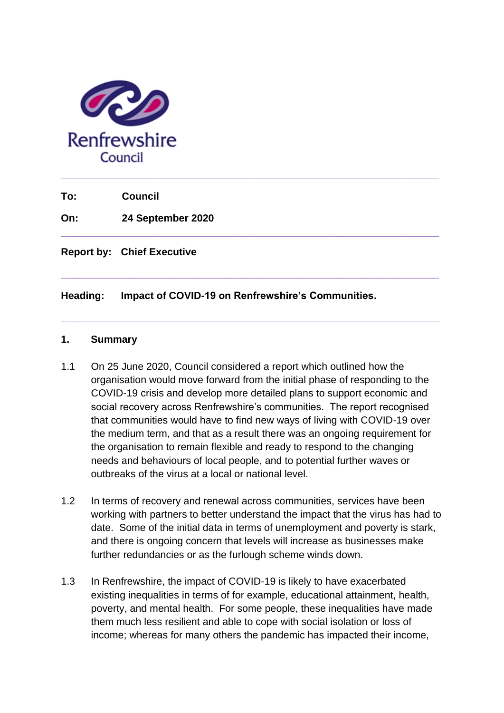

**To: Council**

**On: 24 September 2020** 

**Report by: Chief Executive** 

**Heading: Impact of COVID-19 on Renfrewshire's Communities.**

#### **1. Summary**

1.1 On 25 June 2020, Council considered a report which outlined how the organisation would move forward from the initial phase of responding to the COVID-19 crisis and develop more detailed plans to support economic and social recovery across Renfrewshire's communities. The report recognised that communities would have to find new ways of living with COVID-19 over the medium term, and that as a result there was an ongoing requirement for the organisation to remain flexible and ready to respond to the changing needs and behaviours of local people, and to potential further waves or outbreaks of the virus at a local or national level.

**\_\_\_\_\_\_\_\_\_\_\_\_\_\_\_\_\_\_\_\_\_\_\_\_\_\_\_\_\_\_\_\_\_\_\_\_\_\_\_\_\_\_\_\_\_\_\_\_\_\_\_\_\_\_\_\_\_\_\_\_\_\_\_\_\_\_\_**

**\_\_\_\_\_\_\_\_\_\_\_\_\_\_\_\_\_\_\_\_\_\_\_\_\_\_\_\_\_\_\_\_\_\_\_\_\_\_\_\_\_\_\_\_\_\_\_\_\_\_\_\_\_\_\_\_\_\_\_\_\_\_\_\_\_\_\_**

**\_\_\_\_\_\_\_\_\_\_\_\_\_\_\_\_\_\_\_\_\_\_\_\_\_\_\_\_\_\_\_\_\_\_\_\_\_\_\_\_\_\_\_\_\_\_\_\_\_\_\_\_\_\_\_\_\_\_\_\_\_\_\_\_\_\_\_** 

- 1.2 In terms of recovery and renewal across communities, services have been working with partners to better understand the impact that the virus has had to date. Some of the initial data in terms of unemployment and poverty is stark, and there is ongoing concern that levels will increase as businesses make further redundancies or as the furlough scheme winds down.
- 1.3 In Renfrewshire, the impact of COVID-19 is likely to have exacerbated existing inequalities in terms of for example, educational attainment, health, poverty, and mental health. For some people, these inequalities have made them much less resilient and able to cope with social isolation or loss of income; whereas for many others the pandemic has impacted their income,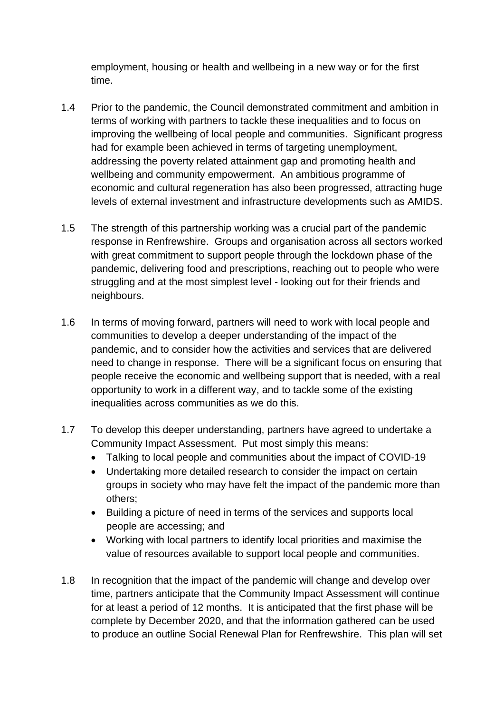employment, housing or health and wellbeing in a new way or for the first time.

- 1.4 Prior to the pandemic, the Council demonstrated commitment and ambition in terms of working with partners to tackle these inequalities and to focus on improving the wellbeing of local people and communities. Significant progress had for example been achieved in terms of targeting unemployment, addressing the poverty related attainment gap and promoting health and wellbeing and community empowerment. An ambitious programme of economic and cultural regeneration has also been progressed, attracting huge levels of external investment and infrastructure developments such as AMIDS.
- 1.5 The strength of this partnership working was a crucial part of the pandemic response in Renfrewshire. Groups and organisation across all sectors worked with great commitment to support people through the lockdown phase of the pandemic, delivering food and prescriptions, reaching out to people who were struggling and at the most simplest level - looking out for their friends and neighbours.
- 1.6 In terms of moving forward, partners will need to work with local people and communities to develop a deeper understanding of the impact of the pandemic, and to consider how the activities and services that are delivered need to change in response. There will be a significant focus on ensuring that people receive the economic and wellbeing support that is needed, with a real opportunity to work in a different way, and to tackle some of the existing inequalities across communities as we do this.
- 1.7 To develop this deeper understanding, partners have agreed to undertake a Community Impact Assessment. Put most simply this means:
	- Talking to local people and communities about the impact of COVID-19
	- Undertaking more detailed research to consider the impact on certain groups in society who may have felt the impact of the pandemic more than others;
	- Building a picture of need in terms of the services and supports local people are accessing; and
	- Working with local partners to identify local priorities and maximise the value of resources available to support local people and communities.
- 1.8 In recognition that the impact of the pandemic will change and develop over time, partners anticipate that the Community Impact Assessment will continue for at least a period of 12 months. It is anticipated that the first phase will be complete by December 2020, and that the information gathered can be used to produce an outline Social Renewal Plan for Renfrewshire. This plan will set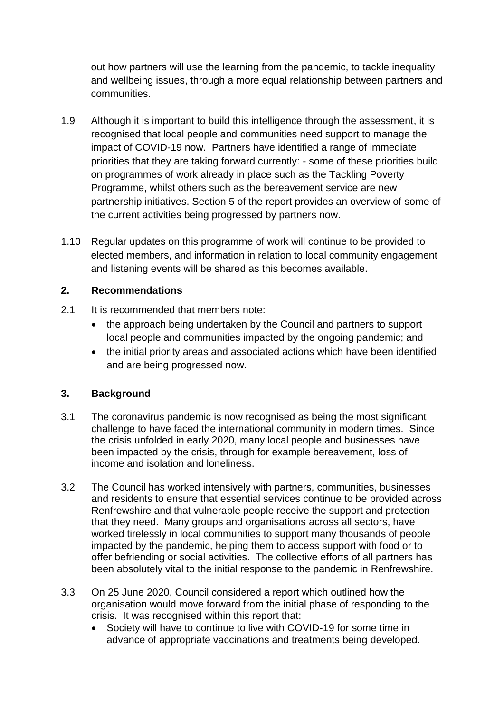out how partners will use the learning from the pandemic, to tackle inequality and wellbeing issues, through a more equal relationship between partners and communities.

- 1.9 Although it is important to build this intelligence through the assessment, it is recognised that local people and communities need support to manage the impact of COVID-19 now. Partners have identified a range of immediate priorities that they are taking forward currently: - some of these priorities build on programmes of work already in place such as the Tackling Poverty Programme, whilst others such as the bereavement service are new partnership initiatives. Section 5 of the report provides an overview of some of the current activities being progressed by partners now.
- 1.10 Regular updates on this programme of work will continue to be provided to elected members, and information in relation to local community engagement and listening events will be shared as this becomes available.

# **2. Recommendations**

- 2.1 It is recommended that members note:
	- the approach being undertaken by the Council and partners to support local people and communities impacted by the ongoing pandemic; and
	- the initial priority areas and associated actions which have been identified and are being progressed now.

# **3. Background**

- 3.1 The coronavirus pandemic is now recognised as being the most significant challenge to have faced the international community in modern times. Since the crisis unfolded in early 2020, many local people and businesses have been impacted by the crisis, through for example bereavement, loss of income and isolation and loneliness.
- 3.2 The Council has worked intensively with partners, communities, businesses and residents to ensure that essential services continue to be provided across Renfrewshire and that vulnerable people receive the support and protection that they need. Many groups and organisations across all sectors, have worked tirelessly in local communities to support many thousands of people impacted by the pandemic, helping them to access support with food or to offer befriending or social activities. The collective efforts of all partners has been absolutely vital to the initial response to the pandemic in Renfrewshire.
- 3.3 On 25 June 2020, Council considered a report which outlined how the organisation would move forward from the initial phase of responding to the crisis. It was recognised within this report that:
	- Society will have to continue to live with COVID-19 for some time in advance of appropriate vaccinations and treatments being developed.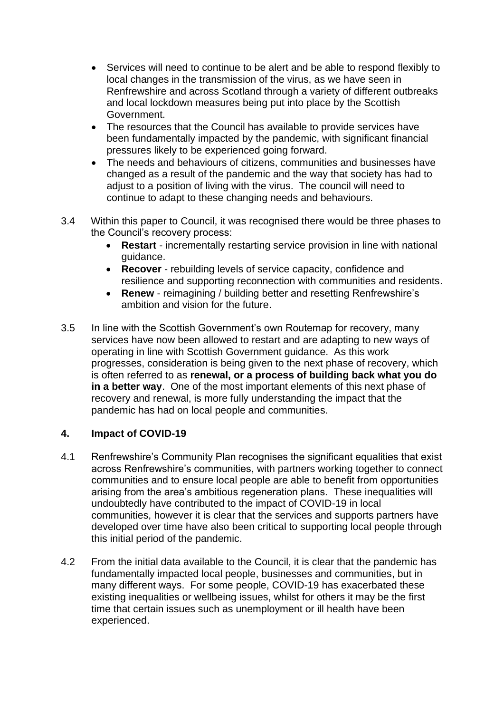- Services will need to continue to be alert and be able to respond flexibly to local changes in the transmission of the virus, as we have seen in Renfrewshire and across Scotland through a variety of different outbreaks and local lockdown measures being put into place by the Scottish Government.
- The resources that the Council has available to provide services have been fundamentally impacted by the pandemic, with significant financial pressures likely to be experienced going forward.
- The needs and behaviours of citizens, communities and businesses have changed as a result of the pandemic and the way that society has had to adjust to a position of living with the virus. The council will need to continue to adapt to these changing needs and behaviours.
- 3.4 Within this paper to Council, it was recognised there would be three phases to the Council's recovery process:
	- **Restart** incrementally restarting service provision in line with national guidance.
	- **Recover** rebuilding levels of service capacity, confidence and resilience and supporting reconnection with communities and residents.
	- **Renew** reimagining / building better and resetting Renfrewshire's ambition and vision for the future.
- 3.5 In line with the Scottish Government's own Routemap for recovery, many services have now been allowed to restart and are adapting to new ways of operating in line with Scottish Government guidance. As this work progresses, consideration is being given to the next phase of recovery, which is often referred to as **renewal, or a process of building back what you do in a better way**. One of the most important elements of this next phase of recovery and renewal, is more fully understanding the impact that the pandemic has had on local people and communities.

#### **4. Impact of COVID-19**

- 4.1 Renfrewshire's Community Plan recognises the significant equalities that exist across Renfrewshire's communities, with partners working together to connect communities and to ensure local people are able to benefit from opportunities arising from the area's ambitious regeneration plans. These inequalities will undoubtedly have contributed to the impact of COVID-19 in local communities, however it is clear that the services and supports partners have developed over time have also been critical to supporting local people through this initial period of the pandemic.
- 4.2 From the initial data available to the Council, it is clear that the pandemic has fundamentally impacted local people, businesses and communities, but in many different ways. For some people, COVID-19 has exacerbated these existing inequalities or wellbeing issues, whilst for others it may be the first time that certain issues such as unemployment or ill health have been experienced.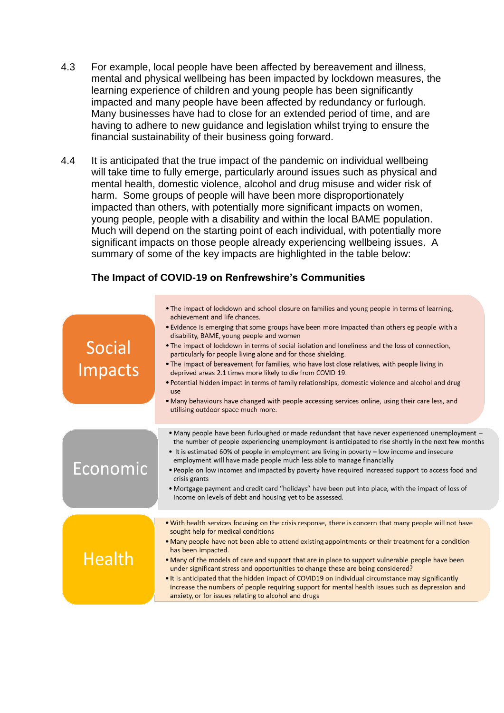- 4.3 For example, local people have been affected by bereavement and illness, mental and physical wellbeing has been impacted by lockdown measures, the learning experience of children and young people has been significantly impacted and many people have been affected by redundancy or furlough. Many businesses have had to close for an extended period of time, and are having to adhere to new guidance and legislation whilst trying to ensure the financial sustainability of their business going forward.
- 4.4 It is anticipated that the true impact of the pandemic on individual wellbeing will take time to fully emerge, particularly around issues such as physical and mental health, domestic violence, alcohol and drug misuse and wider risk of harm. Some groups of people will have been more disproportionately impacted than others, with potentially more significant impacts on women, young people, people with a disability and within the local BAME population. Much will depend on the starting point of each individual, with potentially more significant impacts on those people already experiencing wellbeing issues. A summary of some of the key impacts are highlighted in the table below:

#### **The Impact of COVID-19 on Renfrewshire's Communities**

| Social<br>Impacts | • The impact of lockdown and school closure on families and young people in terms of learning,<br>achievement and life chances.<br>• Evidence is emerging that some groups have been more impacted than others eg people with a<br>disability, BAME, young people and women<br>. The impact of lockdown in terms of social isolation and loneliness and the loss of connection,<br>particularly for people living alone and for those shielding.<br>• The impact of bereavement for families, who have lost close relatives, with people living in<br>deprived areas 2.1 times more likely to die from COVID 19.<br>• Potential hidden impact in terms of family relationships, domestic violence and alcohol and drug<br>use<br>• Many behaviours have changed with people accessing services online, using their care less, and<br>utilising outdoor space much more. |
|-------------------|-------------------------------------------------------------------------------------------------------------------------------------------------------------------------------------------------------------------------------------------------------------------------------------------------------------------------------------------------------------------------------------------------------------------------------------------------------------------------------------------------------------------------------------------------------------------------------------------------------------------------------------------------------------------------------------------------------------------------------------------------------------------------------------------------------------------------------------------------------------------------|
| Economic          | • Many people have been furloughed or made redundant that have never experienced unemployment -<br>the number of people experiencing unemployment is anticipated to rise shortly in the next few months<br>• It is estimated 60% of people in employment are living in poverty – low income and insecure<br>employment will have made people much less able to manage financially<br>• People on low incomes and impacted by poverty have required increased support to access food and<br>crisis grants<br>• Mortgage payment and credit card "holidays" have been put into place, with the impact of loss of<br>income on levels of debt and housing yet to be assessed.                                                                                                                                                                                              |
| <b>Health</b>     | . With health services focusing on the crisis response, there is concern that many people will not have<br>sought help for medical conditions<br>• Many people have not been able to attend existing appointments or their treatment for a condition<br>has been impacted.<br>. Many of the models of care and support that are in place to support vulnerable people have been<br>under significant stress and opportunities to change these are being considered?<br>• It is anticipated that the hidden impact of COVID19 on individual circumstance may significantly<br>increase the numbers of people requiring support for mental health issues such as depression and<br>anxiety, or for issues relating to alcohol and drugs                                                                                                                                   |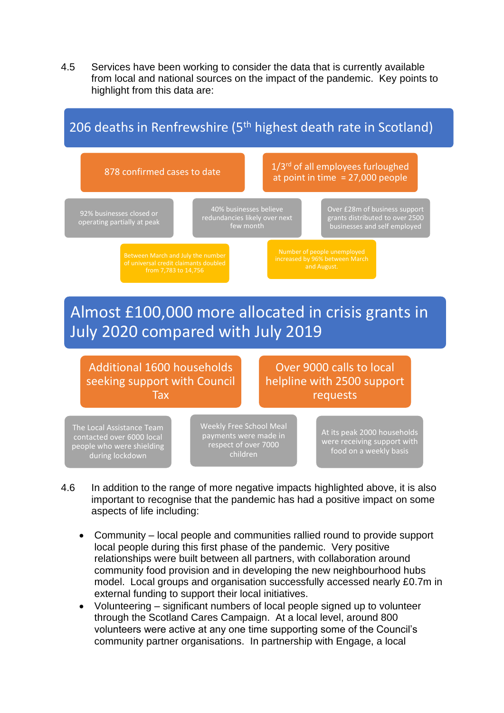4.5 Services have been working to consider the data that is currently available from local and national sources on the impact of the pandemic. Key points to highlight from this data are:



- 4.6 In addition to the range of more negative impacts highlighted above, it is also important to recognise that the pandemic has had a positive impact on some aspects of life including:
	- Community local people and communities rallied round to provide support local people during this first phase of the pandemic. Very positive relationships were built between all partners, with collaboration around community food provision and in developing the new neighbourhood hubs model. Local groups and organisation successfully accessed nearly £0.7m in external funding to support their local initiatives.
	- Volunteering significant numbers of local people signed up to volunteer through the Scotland Cares Campaign. At a local level, around 800 volunteers were active at any one time supporting some of the Council's community partner organisations. In partnership with Engage, a local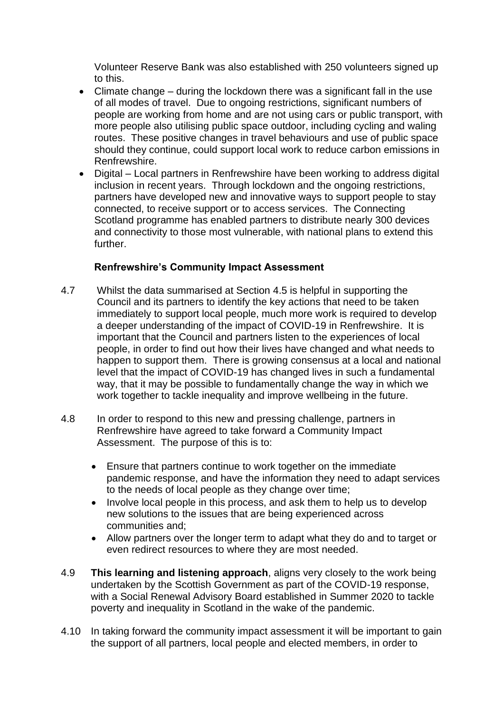Volunteer Reserve Bank was also established with 250 volunteers signed up to this.

- Climate change during the lockdown there was a significant fall in the use of all modes of travel. Due to ongoing restrictions, significant numbers of people are working from home and are not using cars or public transport, with more people also utilising public space outdoor, including cycling and waling routes. These positive changes in travel behaviours and use of public space should they continue, could support local work to reduce carbon emissions in Renfrewshire.
- Digital Local partners in Renfrewshire have been working to address digital inclusion in recent years. Through lockdown and the ongoing restrictions, partners have developed new and innovative ways to support people to stay connected, to receive support or to access services. The Connecting Scotland programme has enabled partners to distribute nearly 300 devices and connectivity to those most vulnerable, with national plans to extend this further.

### **Renfrewshire's Community Impact Assessment**

- 4.7 Whilst the data summarised at Section 4.5 is helpful in supporting the Council and its partners to identify the key actions that need to be taken immediately to support local people, much more work is required to develop a deeper understanding of the impact of COVID-19 in Renfrewshire. It is important that the Council and partners listen to the experiences of local people, in order to find out how their lives have changed and what needs to happen to support them. There is growing consensus at a local and national level that the impact of COVID-19 has changed lives in such a fundamental way, that it may be possible to fundamentally change the way in which we work together to tackle inequality and improve wellbeing in the future.
- 4.8 In order to respond to this new and pressing challenge, partners in Renfrewshire have agreed to take forward a Community Impact Assessment. The purpose of this is to:
	- Ensure that partners continue to work together on the immediate pandemic response, and have the information they need to adapt services to the needs of local people as they change over time;
	- Involve local people in this process, and ask them to help us to develop new solutions to the issues that are being experienced across communities and;
	- Allow partners over the longer term to adapt what they do and to target or even redirect resources to where they are most needed.
- 4.9 **This learning and listening approach**, aligns very closely to the work being undertaken by the Scottish Government as part of the COVID-19 response, with a Social Renewal Advisory Board established in Summer 2020 to tackle poverty and inequality in Scotland in the wake of the pandemic.
- 4.10 In taking forward the community impact assessment it will be important to gain the support of all partners, local people and elected members, in order to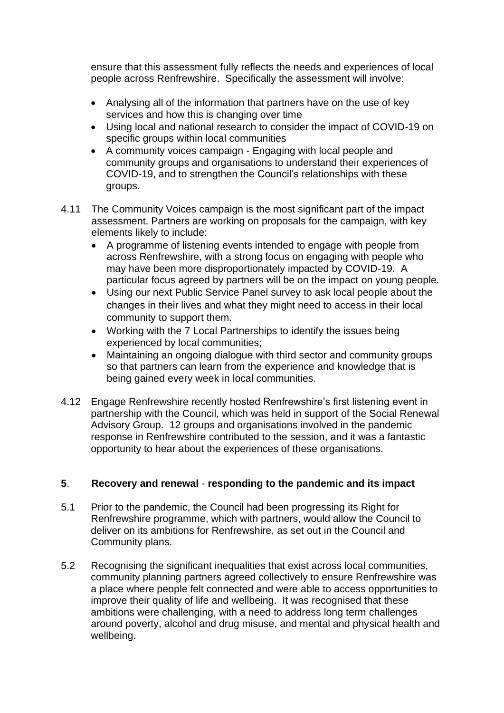ensure that this assessment fully reflects the needs and experiences of local people across Renfrewshire. Specifically the assessment will involve:

- Analysing all of the information that partners have on the use of key services and how this is changing over time
- Using local and national research to consider the impact of COVID-19 on specific groups within local communities
- A community voices campaign Engaging with local people and community groups and organisations to understand their experiences of COVID-19, and to strengthen the Council's relationships with these groups.
- 4.11 The Community Voices campaign is the most significant part of the impact assessment. Partners are working on proposals for the campaign, with key elements likely to include:
	- A programme of listening events intended to engage with people from across Renfrewshire, with a strong focus on engaging with people who may have been more disproportionately impacted by COVID-19. A particular focus agreed by partners will be on the impact on young people.
	- Using our next Public Service Panel survey to ask local people about the changes in their lives and what they might need to access in their local community to support them.
	- Working with the 7 Local Partnerships to identify the issues being experienced by local communities;
	- Maintaining an ongoing dialogue with third sector and community groups so that partners can learn from the experience and knowledge that is being gained every week in local communities.
- 4.12 Engage Renfrewshire recently hosted Renfrewshire's first listening event in partnership with the Council, which was held in support of the Social Renewal Advisory Group. 12 groups and organisations involved in the pandemic response in Renfrewshire contributed to the session, and it was a fantastic opportunity to hear about the experiences of these organisations.

# **5**. **Recovery and renewal** - **responding to the pandemic and its impact**

- 5.1 Prior to the pandemic, the Council had been progressing its Right for Renfrewshire programme, which with partners, would allow the Council to deliver on its ambitions for Renfrewshire, as set out in the Council and Community plans.
- 5.2 Recognising the significant inequalities that exist across local communities, community planning partners agreed collectively to ensure Renfrewshire was a place where people felt connected and were able to access opportunities to improve their quality of life and wellbeing. It was recognised that these ambitions were challenging, with a need to address long term challenges around poverty, alcohol and drug misuse, and mental and physical health and wellbeing.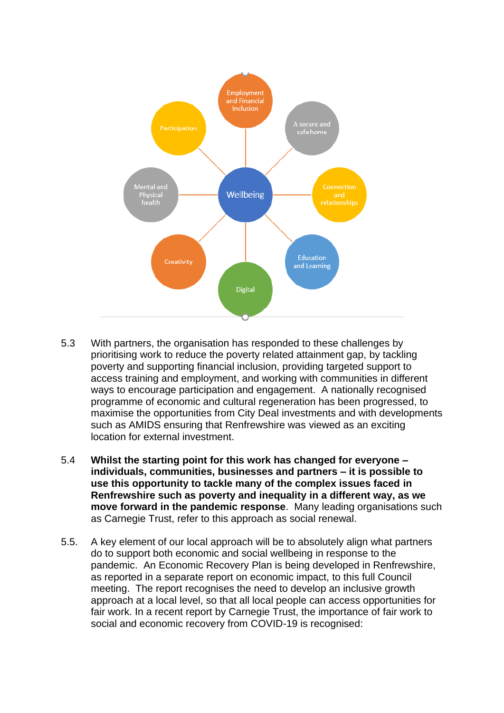

- 5.3 With partners, the organisation has responded to these challenges by prioritising work to reduce the poverty related attainment gap, by tackling poverty and supporting financial inclusion, providing targeted support to access training and employment, and working with communities in different ways to encourage participation and engagement. A nationally recognised programme of economic and cultural regeneration has been progressed, to maximise the opportunities from City Deal investments and with developments such as AMIDS ensuring that Renfrewshire was viewed as an exciting location for external investment.
- 5.4 **Whilst the starting point for this work has changed for everyone – individuals, communities, businesses and partners – it is possible to use this opportunity to tackle many of the complex issues faced in Renfrewshire such as poverty and inequality in a different way, as we move forward in the pandemic response**. Many leading organisations such as Carnegie Trust, refer to this approach as social renewal.
- 5.5. A key element of our local approach will be to absolutely align what partners do to support both economic and social wellbeing in response to the pandemic. An Economic Recovery Plan is being developed in Renfrewshire, as reported in a separate report on economic impact, to this full Council meeting. The report recognises the need to develop an inclusive growth approach at a local level, so that all local people can access opportunities for fair work. In a recent report by Carnegie Trust, the importance of fair work to social and economic recovery from COVID-19 is recognised: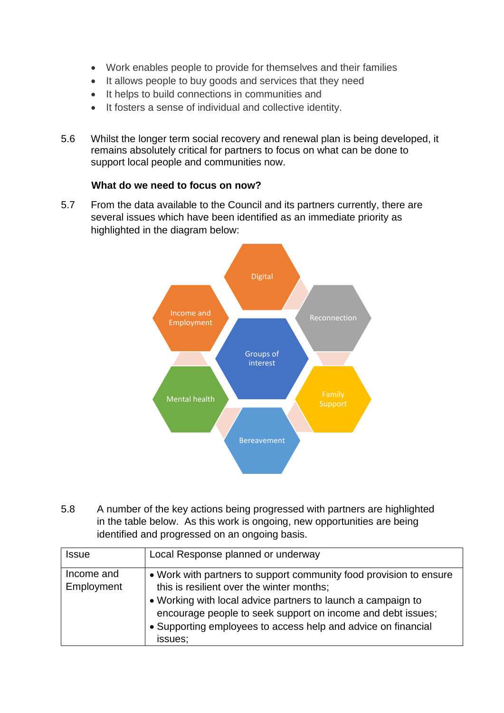- Work enables people to provide for themselves and their families
- It allows people to buy goods and services that they need
- It helps to build connections in communities and
- It fosters a sense of individual and collective identity.
- 5.6 Whilst the longer term social recovery and renewal plan is being developed, it remains absolutely critical for partners to focus on what can be done to support local people and communities now.

#### **What do we need to focus on now?**

5.7 From the data available to the Council and its partners currently, there are several issues which have been identified as an immediate priority as highlighted in the diagram below:



5.8 A number of the key actions being progressed with partners are highlighted in the table below. As this work is ongoing, new opportunities are being identified and progressed on an ongoing basis.

| <b>Issue</b>             | Local Response planned or underway                                                                                                                                                                                                                                                                                         |
|--------------------------|----------------------------------------------------------------------------------------------------------------------------------------------------------------------------------------------------------------------------------------------------------------------------------------------------------------------------|
| Income and<br>Employment | • Work with partners to support community food provision to ensure<br>this is resilient over the winter months;<br>• Working with local advice partners to launch a campaign to<br>encourage people to seek support on income and debt issues;<br>• Supporting employees to access help and advice on financial<br>issues; |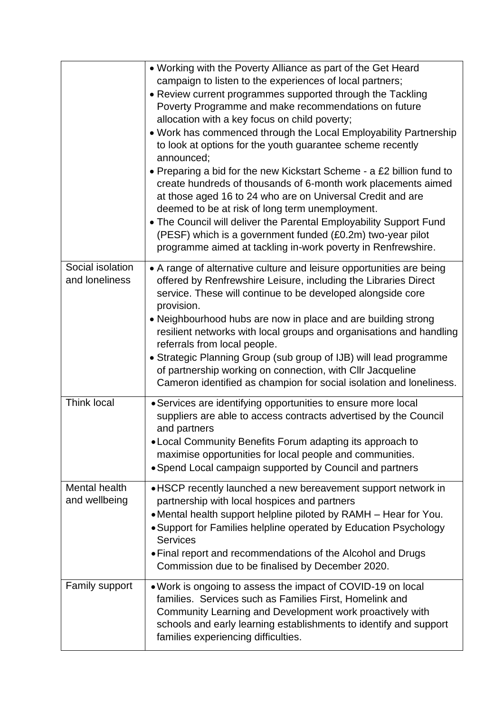|                                    | • Working with the Poverty Alliance as part of the Get Heard<br>campaign to listen to the experiences of local partners;<br>• Review current programmes supported through the Tackling<br>Poverty Programme and make recommendations on future<br>allocation with a key focus on child poverty;<br>. Work has commenced through the Local Employability Partnership<br>to look at options for the youth guarantee scheme recently<br>announced;<br>• Preparing a bid for the new Kickstart Scheme - a £2 billion fund to<br>create hundreds of thousands of 6-month work placements aimed<br>at those aged 16 to 24 who are on Universal Credit and are<br>deemed to be at risk of long term unemployment.<br>• The Council will deliver the Parental Employability Support Fund<br>(PESF) which is a government funded (£0.2m) two-year pilot<br>programme aimed at tackling in-work poverty in Renfrewshire. |
|------------------------------------|----------------------------------------------------------------------------------------------------------------------------------------------------------------------------------------------------------------------------------------------------------------------------------------------------------------------------------------------------------------------------------------------------------------------------------------------------------------------------------------------------------------------------------------------------------------------------------------------------------------------------------------------------------------------------------------------------------------------------------------------------------------------------------------------------------------------------------------------------------------------------------------------------------------|
| Social isolation<br>and loneliness | • A range of alternative culture and leisure opportunities are being<br>offered by Renfrewshire Leisure, including the Libraries Direct<br>service. These will continue to be developed alongside core<br>provision.<br>• Neighbourhood hubs are now in place and are building strong<br>resilient networks with local groups and organisations and handling<br>referrals from local people.<br>• Strategic Planning Group (sub group of IJB) will lead programme<br>of partnership working on connection, with Cllr Jacqueline<br>Cameron identified as champion for social isolation and loneliness.                                                                                                                                                                                                                                                                                                         |
| Think local                        | • Services are identifying opportunities to ensure more local<br>suppliers are able to access contracts advertised by the Council<br>and partners<br>• Local Community Benefits Forum adapting its approach to<br>maximise opportunities for local people and communities.<br>• Spend Local campaign supported by Council and partners                                                                                                                                                                                                                                                                                                                                                                                                                                                                                                                                                                         |
| Mental health<br>and wellbeing     | • HSCP recently launched a new bereavement support network in<br>partnership with local hospices and partners<br>• Mental health support helpline piloted by RAMH – Hear for You.<br>• Support for Families helpline operated by Education Psychology<br><b>Services</b><br>• Final report and recommendations of the Alcohol and Drugs<br>Commission due to be finalised by December 2020.                                                                                                                                                                                                                                                                                                                                                                                                                                                                                                                    |
| Family support                     | . Work is ongoing to assess the impact of COVID-19 on local<br>families. Services such as Families First, Homelink and<br>Community Learning and Development work proactively with<br>schools and early learning establishments to identify and support<br>families experiencing difficulties.                                                                                                                                                                                                                                                                                                                                                                                                                                                                                                                                                                                                                 |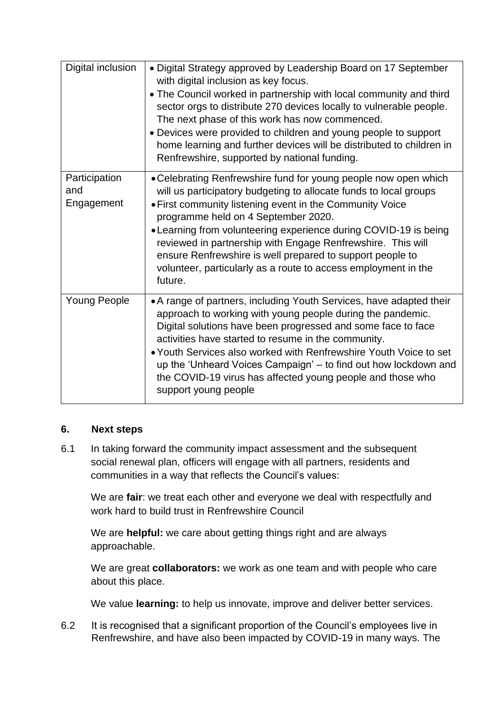| Digital inclusion                  | • Digital Strategy approved by Leadership Board on 17 September<br>with digital inclusion as key focus.<br>• The Council worked in partnership with local community and third<br>sector orgs to distribute 270 devices locally to vulnerable people.<br>The next phase of this work has now commenced.<br>• Devices were provided to children and young people to support<br>home learning and further devices will be distributed to children in<br>Renfrewshire, supported by national funding.                    |
|------------------------------------|----------------------------------------------------------------------------------------------------------------------------------------------------------------------------------------------------------------------------------------------------------------------------------------------------------------------------------------------------------------------------------------------------------------------------------------------------------------------------------------------------------------------|
| Participation<br>and<br>Engagement | • Celebrating Renfrewshire fund for young people now open which<br>will us participatory budgeting to allocate funds to local groups<br>• First community listening event in the Community Voice<br>programme held on 4 September 2020.<br>• Learning from volunteering experience during COVID-19 is being<br>reviewed in partnership with Engage Renfrewshire. This will<br>ensure Renfrewshire is well prepared to support people to<br>volunteer, particularly as a route to access employment in the<br>future. |
| <b>Young People</b>                | • A range of partners, including Youth Services, have adapted their<br>approach to working with young people during the pandemic.<br>Digital solutions have been progressed and some face to face<br>activities have started to resume in the community.<br>• Youth Services also worked with Renfrewshire Youth Voice to set<br>up the 'Unheard Voices Campaign' – to find out how lockdown and<br>the COVID-19 virus has affected young people and those who<br>support young people                               |

# **6. Next steps**

6.1 In taking forward the community impact assessment and the subsequent social renewal plan, officers will engage with all partners, residents and communities in a way that reflects the Council's values:

We are **fair**: we treat each other and everyone we deal with respectfully and work hard to build trust in Renfrewshire Council

We are **helpful:** we care about getting things right and are always approachable.

We are great **collaborators:** we work as one team and with people who care about this place.

We value **learning:** to help us innovate, improve and deliver better services.

6.2 It is recognised that a significant proportion of the Council's employees live in Renfrewshire, and have also been impacted by COVID-19 in many ways. The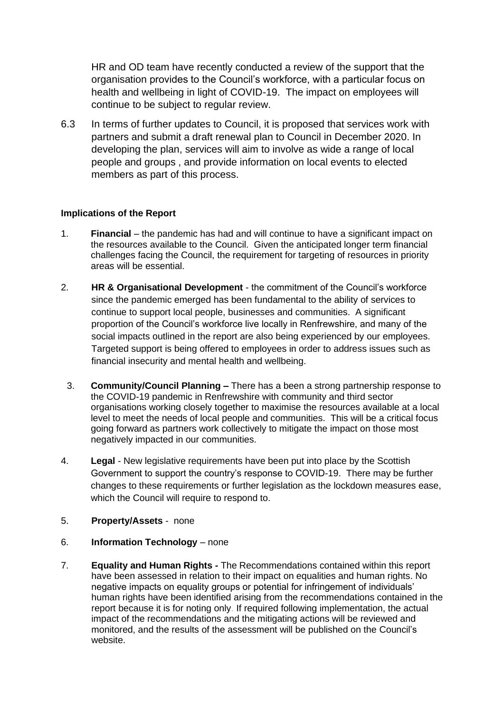HR and OD team have recently conducted a review of the support that the organisation provides to the Council's workforce, with a particular focus on health and wellbeing in light of COVID-19. The impact on employees will continue to be subject to regular review.

6.3 In terms of further updates to Council, it is proposed that services work with partners and submit a draft renewal plan to Council in December 2020. In developing the plan, services will aim to involve as wide a range of local people and groups , and provide information on local events to elected members as part of this process.

#### **Implications of the Report**

- 1. **Financial**  the pandemic has had and will continue to have a significant impact on the resources available to the Council. Given the anticipated longer term financial challenges facing the Council, the requirement for targeting of resources in priority areas will be essential.
- 2. **HR & Organisational Development**  the commitment of the Council's workforce since the pandemic emerged has been fundamental to the ability of services to continue to support local people, businesses and communities. A significant proportion of the Council's workforce live locally in Renfrewshire, and many of the social impacts outlined in the report are also being experienced by our employees. Targeted support is being offered to employees in order to address issues such as financial insecurity and mental health and wellbeing.
	- 3. **Community/Council Planning –** There has a been a strong partnership response to the COVID-19 pandemic in Renfrewshire with community and third sector organisations working closely together to maximise the resources available at a local level to meet the needs of local people and communities. This will be a critical focus going forward as partners work collectively to mitigate the impact on those most negatively impacted in our communities.
- 4. **Legal**  New legislative requirements have been put into place by the Scottish Government to support the country's response to COVID-19. There may be further changes to these requirements or further legislation as the lockdown measures ease, which the Council will require to respond to.
- 5. **Property/Assets**  none
- 6. **Information Technology**  none
- 7. **Equality and Human Rights -** The Recommendations contained within this report have been assessed in relation to their impact on equalities and human rights. No negative impacts on equality groups or potential for infringement of individuals' human rights have been identified arising from the recommendations contained in the report because it is for noting only. If required following implementation, the actual impact of the recommendations and the mitigating actions will be reviewed and monitored, and the results of the assessment will be published on the Council's website.